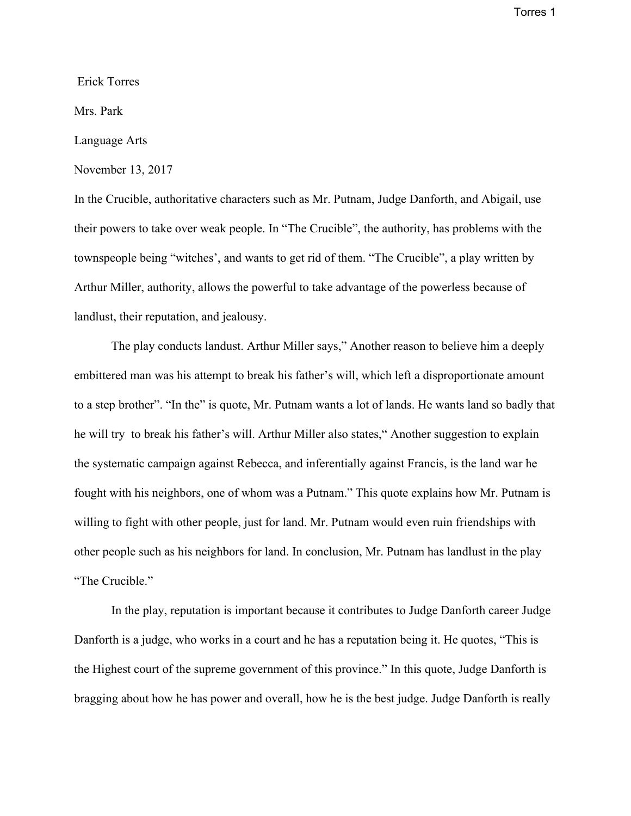Torres 1

Erick Torres

Mrs. Park

## Language Arts

November 13, 2017

In the Crucible, authoritative characters such as Mr. Putnam, Judge Danforth, and Abigail, use their powers to take over weak people. In "The Crucible", the authority, has problems with the townspeople being "witches', and wants to get rid of them. "The Crucible", a play written by Arthur Miller, authority, allows the powerful to take advantage of the powerless because of landlust, their reputation, and jealousy.

The play conducts landust. Arthur Miller says," Another reason to believe him a deeply embittered man was his attempt to break his father's will, which left a disproportionate amount to a step brother". "In the" is quote, Mr. Putnam wants a lot of lands. He wants land so badly that he will try to break his father's will. Arthur Miller also states," Another suggestion to explain the systematic campaign against Rebecca, and inferentially against Francis, is the land war he fought with his neighbors, one of whom was a Putnam." This quote explains how Mr. Putnam is willing to fight with other people, just for land. Mr. Putnam would even ruin friendships with other people such as his neighbors for land. In conclusion, Mr. Putnam has landlust in the play "The Crucible."

In the play, reputation is important because it contributes to Judge Danforth career Judge Danforth is a judge, who works in a court and he has a reputation being it. He quotes, "This is the Highest court of the supreme government of this province." In this quote, Judge Danforth is bragging about how he has power and overall, how he is the best judge. Judge Danforth is really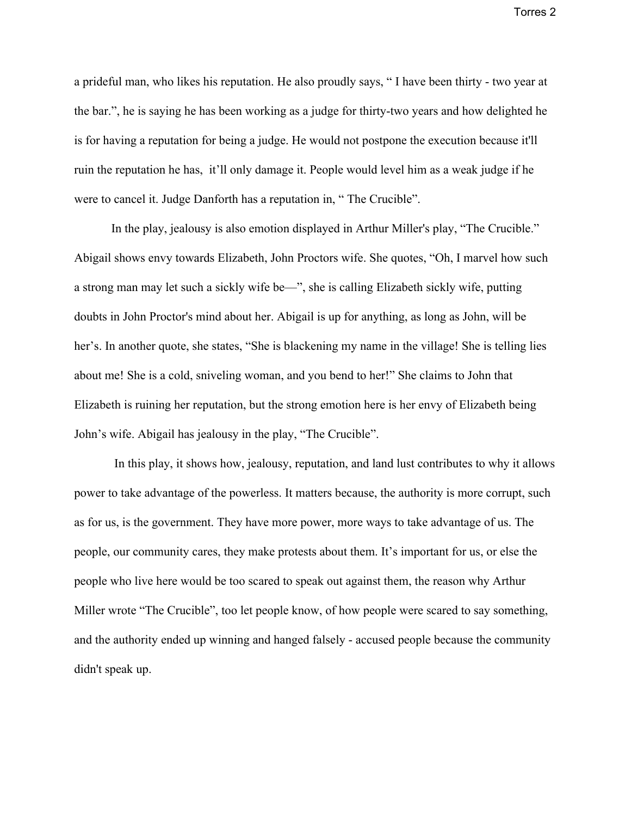Torres 2

a prideful man, who likes his reputation. He also proudly says, " I have been thirty - two year at the bar.", he is saying he has been working as a judge for thirty-two years and how delighted he is for having a reputation for being a judge. He would not postpone the execution because it'll ruin the reputation he has, it'll only damage it. People would level him as a weak judge if he were to cancel it. Judge Danforth has a reputation in, " The Crucible".

In the play, jealousy is also emotion displayed in Arthur Miller's play, "The Crucible." Abigail shows envy towards Elizabeth, John Proctors wife. She quotes, "Oh, I marvel how such a strong man may let such a sickly wife be—", she is calling Elizabeth sickly wife, putting doubts in John Proctor's mind about her. Abigail is up for anything, as long as John, will be her's. In another quote, she states, "She is blackening my name in the village! She is telling lies about me! She is a cold, sniveling woman, and you bend to her!" She claims to John that Elizabeth is ruining her reputation, but the strong emotion here is her envy of Elizabeth being John's wife. Abigail has jealousy in the play, "The Crucible".

 In this play, it shows how, jealousy, reputation, and land lust contributes to why it allows power to take advantage of the powerless. It matters because, the authority is more corrupt, such as for us, is the government. They have more power, more ways to take advantage of us. The people, our community cares, they make protests about them. It's important for us, or else the people who live here would be too scared to speak out against them, the reason why Arthur Miller wrote "The Crucible", too let people know, of how people were scared to say something, and the authority ended up winning and hanged falsely - accused people because the community didn't speak up.